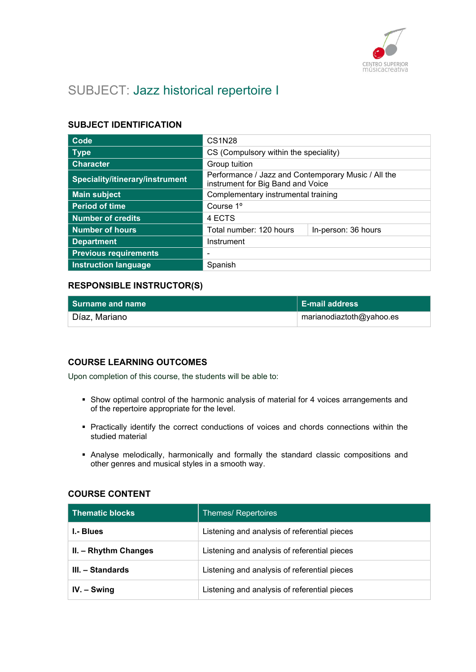

## SUBJECT: Jazz historical repertoire I

## SUBJECT IDENTIFICATION

| Code                            | <b>CS1N28</b>                                                                            |  |
|---------------------------------|------------------------------------------------------------------------------------------|--|
| <b>Type</b>                     | CS (Compulsory within the speciality)                                                    |  |
| <b>Character</b>                | Group tuition                                                                            |  |
| Speciality/itinerary/instrument | Performance / Jazz and Contemporary Music / All the<br>instrument for Big Band and Voice |  |
| <b>Main subject</b>             | Complementary instrumental training                                                      |  |
| <b>Period of time</b>           | Course 1 <sup>o</sup>                                                                    |  |
| <b>Number of credits</b>        | 4 ECTS                                                                                   |  |
| <b>Number of hours</b>          | Total number: 120 hours<br>In-person: 36 hours                                           |  |
| <b>Department</b>               | Instrument                                                                               |  |
| <b>Previous requirements</b>    |                                                                                          |  |
| <b>Instruction language</b>     | Spanish                                                                                  |  |

## RESPONSIBLE INSTRUCTOR(S)

| l Surname and name ˈ | ∣ E-mail address         |
|----------------------|--------------------------|
| Díaz, Mariano        | marianodiaztoth@yahoo.es |

## COURSE LEARNING OUTCOMES

Upon completion of this course, the students will be able to:

- Show optimal control of the harmonic analysis of material for 4 voices arrangements and of the repertoire appropriate for the level.
- Practically identify the correct conductions of voices and chords connections within the studied material
- Analyse melodically, harmonically and formally the standard classic compositions and other genres and musical styles in a smooth way.

## COURSE CONTENT

| <b>Thematic blocks</b> | Themes/ Repertoires                          |
|------------------------|----------------------------------------------|
| I.- Blues              | Listening and analysis of referential pieces |
| II. - Rhythm Changes   | Listening and analysis of referential pieces |
| III. – Standards       | Listening and analysis of referential pieces |
| $IV. - Swing$          | Listening and analysis of referential pieces |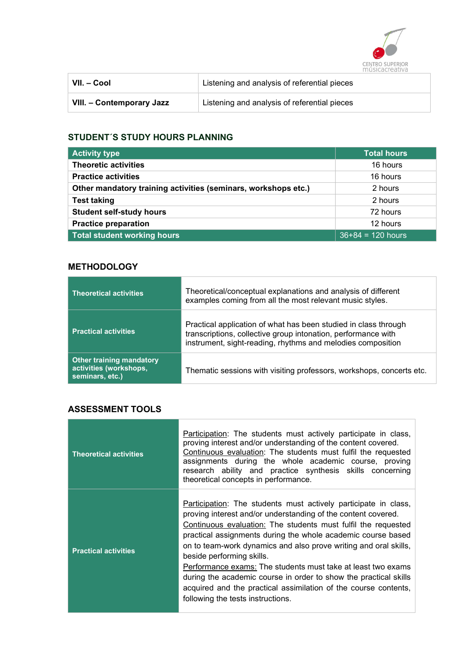

| VII. – Cool               | Listening and analysis of referential pieces |
|---------------------------|----------------------------------------------|
| VIII. - Contemporary Jazz | Listening and analysis of referential pieces |

## STUDENT´S STUDY HOURS PLANNING

| <b>Activity type</b>                                           | <b>Total hours</b>  |
|----------------------------------------------------------------|---------------------|
| <b>Theoretic activities</b>                                    | 16 hours            |
| <b>Practice activities</b>                                     | 16 hours            |
| Other mandatory training activities (seminars, workshops etc.) | 2 hours             |
| <b>Test taking</b>                                             | 2 hours             |
| <b>Student self-study hours</b>                                | 72 hours            |
| <b>Practice preparation</b>                                    | 12 hours            |
| <b>Total student working hours</b>                             | $36+84 = 120$ hours |

## **METHODOLOGY**

| <b>Theoretical activities</b>                                                | Theoretical/conceptual explanations and analysis of different<br>examples coming from all the most relevant music styles.                                                                       |
|------------------------------------------------------------------------------|-------------------------------------------------------------------------------------------------------------------------------------------------------------------------------------------------|
| <b>Practical activities</b>                                                  | Practical application of what has been studied in class through<br>transcriptions, collective group intonation, performance with<br>instrument, sight-reading, rhythms and melodies composition |
| <b>Other training mandatory</b><br>activities (workshops,<br>seminars, etc.) | Thematic sessions with visiting professors, workshops, concerts etc.                                                                                                                            |

## ASSESSMENT TOOLS

| <b>Theoretical activities</b> | Participation: The students must actively participate in class,<br>proving interest and/or understanding of the content covered.<br>Continuous evaluation: The students must fulfil the requested<br>assignments during the whole academic course, proving<br>research ability and practice synthesis skills concerning<br>theoretical concepts in performance.                                                                                                                                                                                                                                                |
|-------------------------------|----------------------------------------------------------------------------------------------------------------------------------------------------------------------------------------------------------------------------------------------------------------------------------------------------------------------------------------------------------------------------------------------------------------------------------------------------------------------------------------------------------------------------------------------------------------------------------------------------------------|
| <b>Practical activities</b>   | Participation: The students must actively participate in class,<br>proving interest and/or understanding of the content covered.<br>Continuous evaluation: The students must fulfil the requested<br>practical assignments during the whole academic course based<br>on to team-work dynamics and also prove writing and oral skills,<br>beside performing skills.<br>Performance exams: The students must take at least two exams<br>during the academic course in order to show the practical skills<br>acquired and the practical assimilation of the course contents,<br>following the tests instructions. |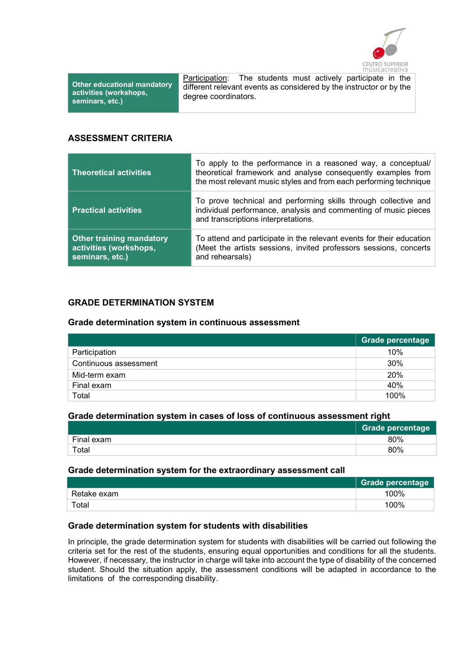

Other educational mandatory activities (workshops, seminars, etc.)

Participation: The students must actively participate in the different relevant events as considered by the instructor or by the degree coordinators.

#### ASSESSMENT CRITERIA

| <b>Theoretical activities</b>                                                | To apply to the performance in a reasoned way, a conceptual/<br>theoretical framework and analyse consequently examples from<br>the most relevant music styles and from each performing technique |
|------------------------------------------------------------------------------|---------------------------------------------------------------------------------------------------------------------------------------------------------------------------------------------------|
| <b>Practical activities</b>                                                  | To prove technical and performing skills through collective and<br>individual performance, analysis and commenting of music pieces<br>and transcriptions interpretations.                         |
| <b>Other training mandatory</b><br>activities (workshops,<br>seminars, etc.) | To attend and participate in the relevant events for their education<br>(Meet the artists sessions, invited professors sessions, concerts<br>and rehearsals)                                      |

## GRADE DETERMINATION SYSTEM

#### Grade determination system in continuous assessment

|                       | Grade percentage |
|-----------------------|------------------|
| Participation         | 10%              |
| Continuous assessment | 30%              |
| Mid-term exam         | 20%              |
| Final exam            | 40%              |
| Total                 | 100%             |

#### Grade determination system in cases of loss of continuous assessment right

|            | <b>Grade percentage</b> |
|------------|-------------------------|
| Final exam | 80%                     |
| Total      | 80%                     |

#### Grade determination system for the extraordinary assessment call

|             | <b>Grade percentage</b> |
|-------------|-------------------------|
| Retake exam | 100%                    |
| Total       | 100%                    |

#### Grade determination system for students with disabilities

In principle, the grade determination system for students with disabilities will be carried out following the criteria set for the rest of the students, ensuring equal opportunities and conditions for all the students. However, if necessary, the instructor in charge will take into account the type of disability of the concerned student. Should the situation apply, the assessment conditions will be adapted in accordance to the limitations of the corresponding disability.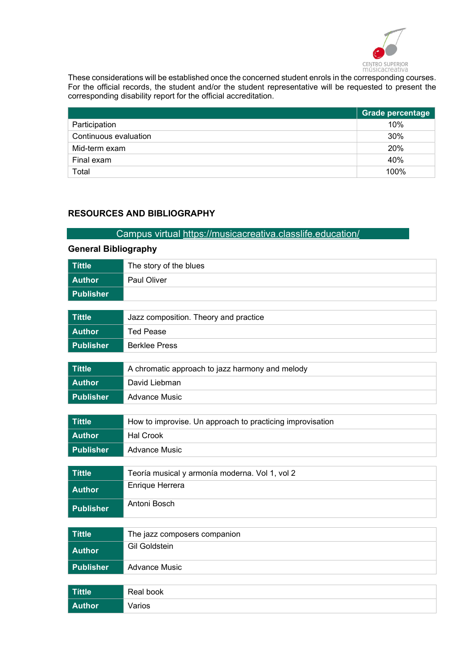

These considerations will be established once the concerned student enrols in the corresponding courses. For the official records, the student and/or the student representative will be requested to present the corresponding disability report for the official accreditation.

|                       | <b>Grade percentage</b> |
|-----------------------|-------------------------|
| Participation         | 10%                     |
| Continuous evaluation | 30%                     |
| Mid-term exam         | <b>20%</b>              |
| Final exam            | 40%                     |
| Total                 | 100%                    |

## RESOURCES AND BIBLIOGRAPHY

## Campus virtual https://musicacreativa.classlife.education/

| <b>General Bibliography</b> |                                                           |  |
|-----------------------------|-----------------------------------------------------------|--|
| <b>Títtle</b>               | The story of the blues                                    |  |
| <b>Author</b>               | Paul Oliver                                               |  |
| <b>Publisher</b>            |                                                           |  |
|                             |                                                           |  |
| <b>Títtle</b>               | Jazz composition. Theory and practice                     |  |
| <b>Author</b>               | <b>Ted Pease</b>                                          |  |
| <b>Publisher</b>            | <b>Berklee Press</b>                                      |  |
| <b>Títtle</b>               |                                                           |  |
|                             | A chromatic approach to jazz harmony and melody           |  |
| <b>Author</b>               | David Liebman                                             |  |
| <b>Publisher</b>            | <b>Advance Music</b>                                      |  |
| <b>Títtle</b>               | How to improvise. Un approach to practicing improvisation |  |
|                             |                                                           |  |
| <b>Author</b>               | <b>Hal Crook</b>                                          |  |
| <b>Publisher</b>            | <b>Advance Music</b>                                      |  |
| <b>Títtle</b>               | Teoría musical y armonía moderna. Vol 1, vol 2            |  |
| <b>Author</b>               | Enrique Herrera                                           |  |
| <b>Publisher</b>            | Antoni Bosch                                              |  |
|                             |                                                           |  |
| <b>Títtle</b>               | The jazz composers companion                              |  |
| <b>Author</b>               | <b>Gil Goldstein</b>                                      |  |
| <b>Publisher</b>            | <b>Advance Music</b>                                      |  |
| <b>Títtle</b>               | Real book                                                 |  |
| <b>Author</b>               | Varios                                                    |  |